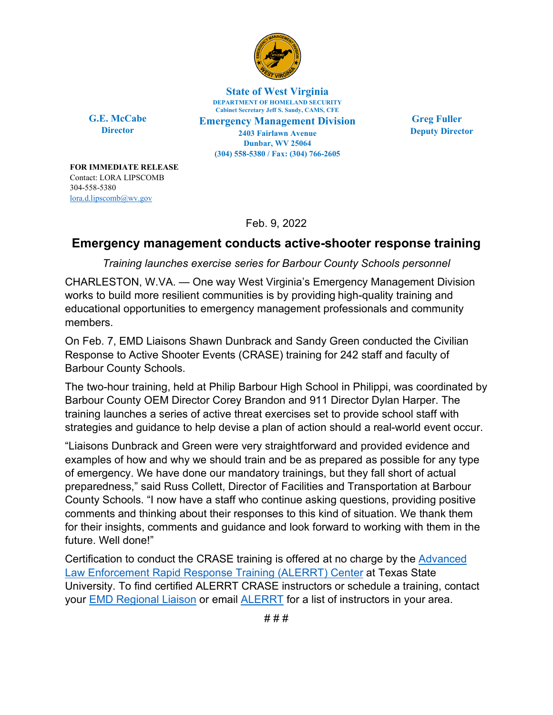

**State of West Virginia DEPARTMENT OF HOMELAND SECURITY Cabinet Secretary Jeff S. Sandy, CAMS, CFE Emergency Management Division 2403 Fairlawn Avenue Dunbar, WV 25064 (304) 558-5380 / Fax: (304) 766-2605**

**G.E. McCabe Director**

**FOR IMMEDIATE RELEASE**  Contact: LORA LIPSCOMB 304-558-5380 [lora.d.lipscomb@wv.gov](mailto:lora.d.lipscomb@wv.gov)

**Greg Fuller Deputy Director**

Feb. 9, 2022

## **Emergency management conducts active-shooter response training**

*Training launches exercise series for Barbour County Schools personnel* 

CHARLESTON, W.VA. — One way West Virginia's Emergency Management Division works to build more resilient communities is by providing high-quality training and educational opportunities to emergency management professionals and community members.

On Feb. 7, EMD Liaisons Shawn Dunbrack and Sandy Green conducted the Civilian Response to Active Shooter Events (CRASE) training for 242 staff and faculty of Barbour County Schools.

The two-hour training, held at Philip Barbour High School in Philippi, was coordinated by Barbour County OEM Director Corey Brandon and 911 Director Dylan Harper. The training launches a series of active threat exercises set to provide school staff with strategies and guidance to help devise a plan of action should a real-world event occur.

"Liaisons Dunbrack and Green were very straightforward and provided evidence and examples of how and why we should train and be as prepared as possible for any type of emergency. We have done our mandatory trainings, but they fall short of actual preparedness," said Russ Collett, Director of Facilities and Transportation at Barbour County Schools. "I now have a staff who continue asking questions, providing positive comments and thinking about their responses to this kind of situation. We thank them for their insights, comments and guidance and look forward to working with them in the future. Well done!"

Certification to conduct the CRASE training is offered at no charge by the [Advanced](https://alerrt.org/CivilianResponse) [Law Enforcement Rapid Response Training \(ALERRT\) Center](https://alerrt.org/CivilianResponse) at Texas State University. To find certified ALERRT CRASE instructors or schedule a training, contact your [EMD Regional Liaison](https://emd.wv.gov/Pages/Area-Liaisons.aspx) or email [ALERRT](mailto:help@alerrt.org) for a list of instructors in your area.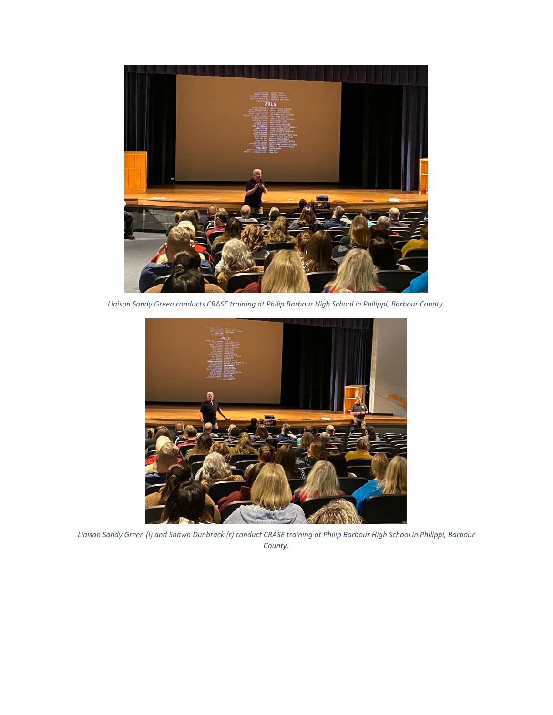

*Liaison Sandy Green conducts CRASE training at Philip Barbour High School in Philippi, Barbour County.* 



*Liaison Sandy Green (l) and Shawn Dunbrack (r) conduct CRASE training at Philip Barbour High School in Philippi, Barbour County.*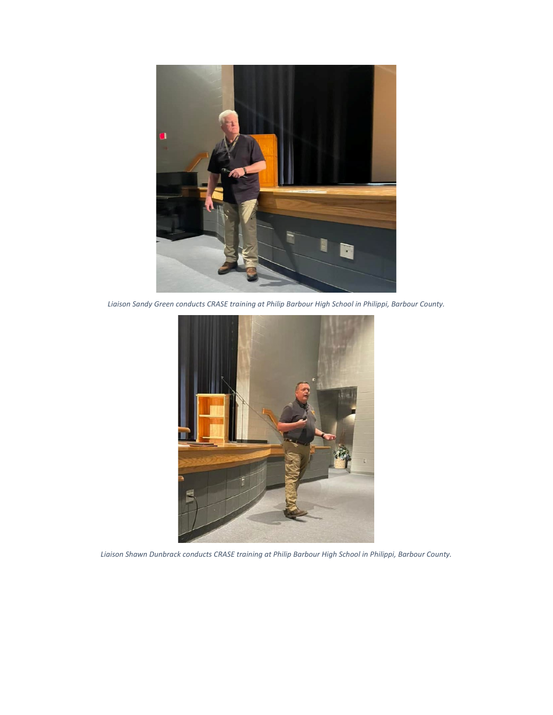

*Liaison Sandy Green conducts CRASE training at Philip Barbour High School in Philippi, Barbour County.* 



*Liaison Shawn Dunbrack conducts CRASE training at Philip Barbour High School in Philippi, Barbour County.*